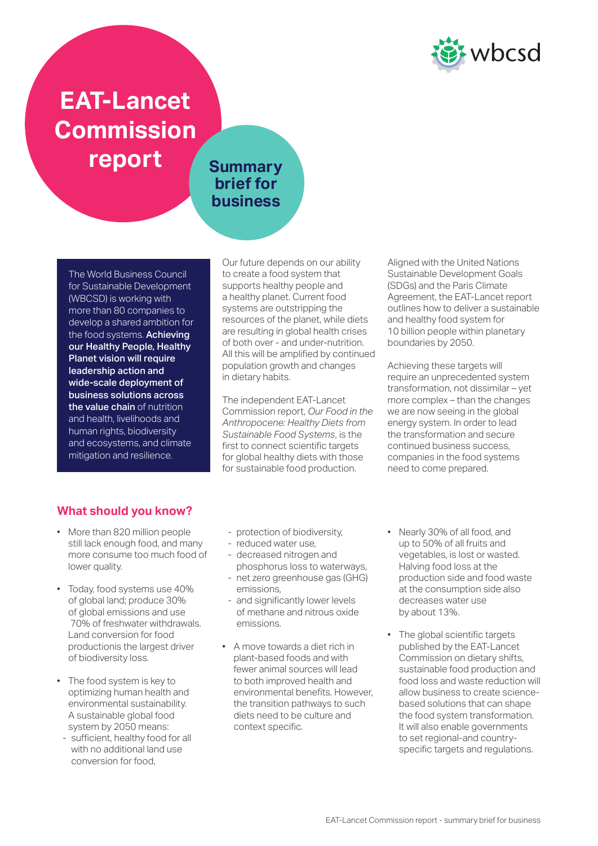

# **EAT-Lancet Commission report** Summary

## **brief for business**

The World Business Council for Sustainable Development (WBCSD) is working with more than 80 companies to develop a shared ambition for the food systems. Achieving our Healthy People, Healthy Planet vision will require leadership action and wide-scale deployment of business solutions across the value chain of nutrition and health, livelihoods and human rights, biodiversity and ecosystems, and climate mitigation and resilience.

Our future depends on our ability to create a food system that supports healthy people and a healthy planet. Current food systems are outstripping the resources of the planet, while diets are resulting in global health crises of both over - and under-nutrition. All this will be amplified by continued population growth and changes in dietary habits.

The independent EAT-Lancet Commission report, *Our Food in the Anthropocene: Healthy Diets from Sustainable Food Systems*, is the first to connect scientific targets for global healthy diets with those for sustainable food production.

Aligned with the United Nations Sustainable Development Goals (SDGs) and the Paris Climate Agreement, the EAT-Lancet report outlines how to deliver a sustainable and healthy food system for 10 billion people within planetary boundaries by 2050.

Achieving these targets will require an unprecedented system transformation, not dissimilar – yet more complex – than the changes we are now seeing in the global energy system. In order to lead the transformation and secure continued business success, companies in the food systems need to come prepared.

## **What should you know?**

- More than 820 million people still lack enough food, and many more consume too much food of lower quality.
- Today, food systems use 40% of global land; produce 30% of global emissions and use 70% of freshwater withdrawals. Land conversion for food productionis the largest driver of biodiversity loss.
- The food system is key to optimizing human health and environmental sustainability. A sustainable global food system by 2050 means:
- sufficient, healthy food for all with no additional land use conversion for food,
- protection of biodiversity,
- reduced water use,
- decreased nitrogen and phosphorus loss to waterways,
- net zero greenhouse gas (GHG) emissions,
- and significantly lower levels of methane and nitrous oxide emissions.
- A move towards a diet rich in plant-based foods and with fewer animal sources will lead to both improved health and environmental benefits. However, the transition pathways to such diets need to be culture and context specific.
- Nearly 30% of all food, and up to 50% of all fruits and vegetables, is lost or wasted. Halving food loss at the production side and food waste at the consumption side also decreases water use by about 13%.
- The global scientific targets published by the EAT-Lancet Commission on dietary shifts, sustainable food production and food loss and waste reduction will allow business to create sciencebased solutions that can shape the food system transformation. It will also enable governments to set regional-and countryspecific targets and regulations.